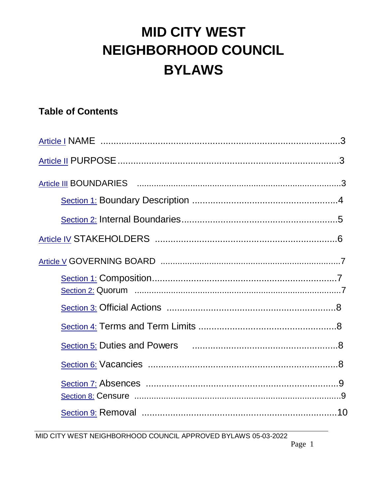# **MID CITY WEST** NEIGHBORHOOD COUNCIL **BYLAWS**

# **Table of Contents**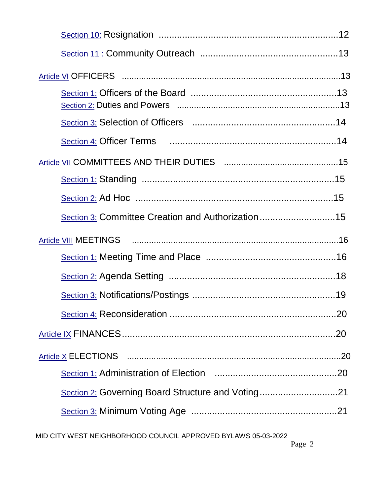| Section 3: Committee Creation and Authorization15 |  |
|---------------------------------------------------|--|
|                                                   |  |
|                                                   |  |
|                                                   |  |
|                                                   |  |
|                                                   |  |
|                                                   |  |
|                                                   |  |
|                                                   |  |
|                                                   |  |
| Section 2: Governing Board Structure and Voting21 |  |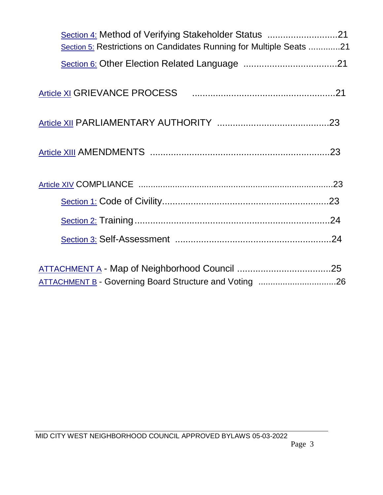| Section 5: Restrictions on Candidates Running for Multiple Seats 21 |  |
|---------------------------------------------------------------------|--|
|                                                                     |  |
|                                                                     |  |
|                                                                     |  |
|                                                                     |  |
|                                                                     |  |
|                                                                     |  |
|                                                                     |  |
|                                                                     |  |
|                                                                     |  |
| ATTACHMENT B - Governing Board Structure and Voting 26              |  |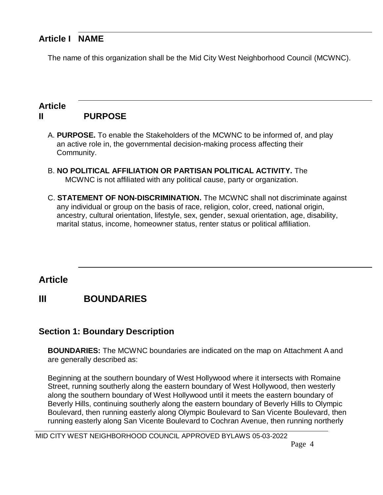## **Article I NAME**

The name of this organization shall be the Mid City West Neighborhood Council (MCWNC).

#### **Article II PURPOSE**

- A. **PURPOSE.** To enable the Stakeholders of the MCWNC to be informed of, and play an active role in, the governmental decision-making process affecting their Community.
- B. **NO POLITICAL AFFILIATION OR PARTISAN POLITICAL ACTIVITY.** The MCWNC is not affiliated with any political cause, party or organization.
- C. **STATEMENT OF NON-DISCRIMINATION.** The MCWNC shall not discriminate against any individual or group on the basis of race, religion, color, creed, national origin, ancestry, cultural orientation, lifestyle, sex, gender, sexual orientation, age, disability, marital status, income, homeowner status, renter status or political affiliation.

## **Article**

## **III BOUNDARIES**

#### **Section 1: Boundary Description**

**BOUNDARIES:** The MCWNC boundaries are indicated on the map on Attachment A and are generally described as:

Beginning at the southern boundary of West Hollywood where it intersects with Romaine Street, running southerly along the eastern boundary of West Hollywood, then westerly along the southern boundary of West Hollywood until it meets the eastern boundary of Beverly Hills, continuing southerly along the eastern boundary of Beverly Hills to Olympic Boulevard, then running easterly along Olympic Boulevard to San Vicente Boulevard, then running easterly along San Vicente Boulevard to Cochran Avenue, then running northerly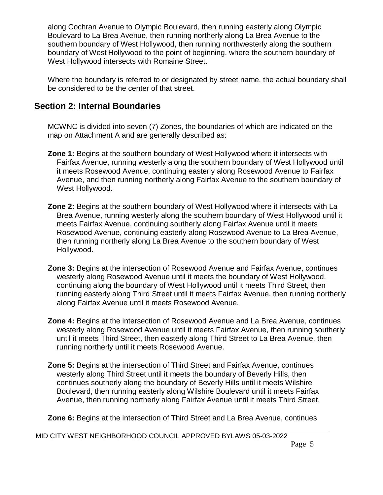along Cochran Avenue to Olympic Boulevard, then running easterly along Olympic Boulevard to La Brea Avenue, then running northerly along La Brea Avenue to the southern boundary of West Hollywood, then running northwesterly along the southern boundary of West Hollywood to the point of beginning, where the southern boundary of West Hollywood intersects with Romaine Street.

Where the boundary is referred to or designated by street name, the actual boundary shall be considered to be the center of that street.

#### **Section 2: Internal Boundaries**

MCWNC is divided into seven (7) Zones, the boundaries of which are indicated on the map on Attachment A and are generally described as:

- **Zone 1:** Begins at the southern boundary of West Hollywood where it intersects with Fairfax Avenue, running westerly along the southern boundary of West Hollywood until it meets Rosewood Avenue, continuing easterly along Rosewood Avenue to Fairfax Avenue, and then running northerly along Fairfax Avenue to the southern boundary of West Hollywood.
- **Zone 2:** Begins at the southern boundary of West Hollywood where it intersects with La Brea Avenue, running westerly along the southern boundary of West Hollywood until it meets Fairfax Avenue, continuing southerly along Fairfax Avenue until it meets Rosewood Avenue, continuing easterly along Rosewood Avenue to La Brea Avenue, then running northerly along La Brea Avenue to the southern boundary of West Hollywood.
- **Zone 3:** Begins at the intersection of Rosewood Avenue and Fairfax Avenue, continues westerly along Rosewood Avenue until it meets the boundary of West Hollywood, continuing along the boundary of West Hollywood until it meets Third Street, then running easterly along Third Street until it meets Fairfax Avenue, then running northerly along Fairfax Avenue until it meets Rosewood Avenue.
- **Zone 4:** Begins at the intersection of Rosewood Avenue and La Brea Avenue, continues westerly along Rosewood Avenue until it meets Fairfax Avenue, then running southerly until it meets Third Street, then easterly along Third Street to La Brea Avenue, then running northerly until it meets Rosewood Avenue.
- **Zone 5:** Begins at the intersection of Third Street and Fairfax Avenue, continues westerly along Third Street until it meets the boundary of Beverly Hills, then continues southerly along the boundary of Beverly Hills until it meets Wilshire Boulevard, then running easterly along Wilshire Boulevard until it meets Fairfax Avenue, then running northerly along Fairfax Avenue until it meets Third Street.

**Zone 6:** Begins at the intersection of Third Street and La Brea Avenue, continues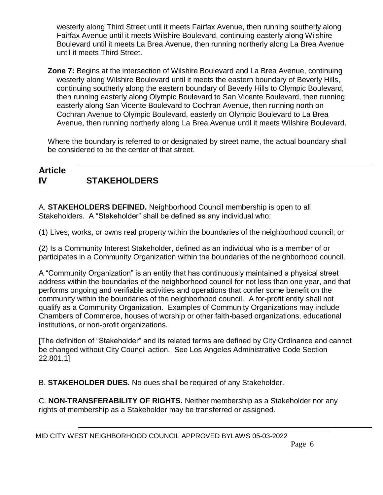westerly along Third Street until it meets Fairfax Avenue, then running southerly along Fairfax Avenue until it meets Wilshire Boulevard, continuing easterly along Wilshire Boulevard until it meets La Brea Avenue, then running northerly along La Brea Avenue until it meets Third Street.

**Zone 7:** Begins at the intersection of Wilshire Boulevard and La Brea Avenue, continuing westerly along Wilshire Boulevard until it meets the eastern boundary of Beverly Hills, continuing southerly along the eastern boundary of Beverly Hills to Olympic Boulevard, then running easterly along Olympic Boulevard to San Vicente Boulevard, then running easterly along San Vicente Boulevard to Cochran Avenue, then running north on Cochran Avenue to Olympic Boulevard, easterly on Olympic Boulevard to La Brea Avenue, then running northerly along La Brea Avenue until it meets Wilshire Boulevard.

Where the boundary is referred to or designated by street name, the actual boundary shall be considered to be the center of that street.

#### **Article IV STAKEHOLDERS**

A. **STAKEHOLDERS DEFINED.** Neighborhood Council membership is open to all Stakeholders. A "Stakeholder" shall be defined as any individual who:

(1) Lives, works, or owns real property within the boundaries of the neighborhood council; or

(2) Is a Community Interest Stakeholder, defined as an individual who is a member of or participates in a Community Organization within the boundaries of the neighborhood council.

A "Community Organization" is an entity that has continuously maintained a physical street address within the boundaries of the neighborhood council for not less than one year, and that performs ongoing and verifiable activities and operations that confer some benefit on the community within the boundaries of the neighborhood council. A for-profit entity shall not qualify as a Community Organization. Examples of Community Organizations may include Chambers of Commerce, houses of worship or other faith-based organizations, educational institutions, or non-profit organizations.

[The definition of "Stakeholder" and its related terms are defined by City Ordinance and cannot be changed without City Council action. See Los Angeles Administrative Code Section 22.801.1]

B. **STAKEHOLDER DUES.** No dues shall be required of any Stakeholder.

C. **NON-TRANSFERABILITY OF RIGHTS.** Neither membership as a Stakeholder nor any rights of membership as a Stakeholder may be transferred or assigned.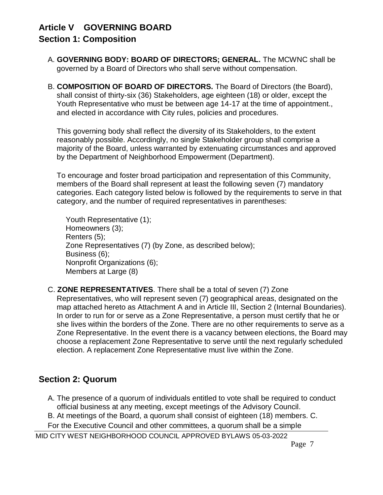# **Article V GOVERNING BOARD**

#### **Section 1: Composition**

- A. **GOVERNING BODY: BOARD OF DIRECTORS; GENERAL.** The MCWNC shall be governed by a Board of Directors who shall serve without compensation.
- B. **COMPOSITION OF BOARD OF DIRECTORS.** The Board of Directors (the Board), shall consist of thirty-six (36) Stakeholders, age eighteen (18) or older, except the Youth Representative who must be between age 14-17 at the time of appointment., and elected in accordance with City rules, policies and procedures.

This governing body shall reflect the diversity of its Stakeholders, to the extent reasonably possible. Accordingly, no single Stakeholder group shall comprise a majority of the Board, unless warranted by extenuating circumstances and approved by the Department of Neighborhood Empowerment (Department).

To encourage and foster broad participation and representation of this Community, members of the Board shall represent at least the following seven (7) mandatory categories. Each category listed below is followed by the requirements to serve in that category, and the number of required representatives in parentheses:

Youth Representative (1); Homeowners (3); Renters (5); Zone Representatives (7) (by Zone, as described below); Business (6); Nonprofit Organizations (6); Members at Large (8)

#### C. **ZONE REPRESENTATIVES**. There shall be a total of seven (7) Zone Representatives, who will represent seven (7) geographical areas, designated on the map attached hereto as Attachment A and in Article III, Section 2 (Internal Boundaries). In order to run for or serve as a Zone Representative, a person must certify that he or she lives within the borders of the Zone. There are no other requirements to serve as a Zone Representative. In the event there is a vacancy between elections, the Board may choose a replacement Zone Representative to serve until the next regularly scheduled election. A replacement Zone Representative must live within the Zone.

#### **Section 2: Quorum**

- A. The presence of a quorum of individuals entitled to vote shall be required to conduct official business at any meeting, except meetings of the Advisory Council.
- B. At meetings of the Board, a quorum shall consist of eighteen (18) members. C.

For the Executive Council and other committees, a quorum shall be a simple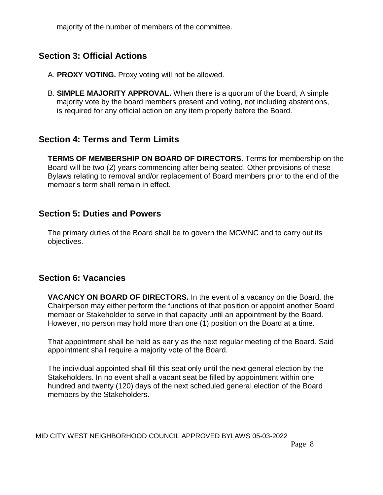majority of the number of members of the committee.

#### **Section 3: Official Actions**

- A. **PROXY VOTING.** Proxy voting will not be allowed.
- B. **SIMPLE MAJORITY APPROVAL.** When there is a quorum of the board, A simple majority vote by the board members present and voting, not including abstentions, is required for any official action on any item properly before the Board.

#### **Section 4: Terms and Term Limits**

**TERMS OF MEMBERSHIP ON BOARD OF DIRECTORS**. Terms for membership on the Board will be two (2) years commencing after being seated. Other provisions of these Bylaws relating to removal and/or replacement of Board members prior to the end of the member's term shall remain in effect.

#### **Section 5: Duties and Powers**

The primary duties of the Board shall be to govern the MCWNC and to carry out its objectives.

## **Section 6: Vacancies**

**VACANCY ON BOARD OF DIRECTORS.** In the event of a vacancy on the Board, the Chairperson may either perform the functions of that position or appoint another Board member or Stakeholder to serve in that capacity until an appointment by the Board. However, no person may hold more than one (1) position on the Board at a time.

That appointment shall be held as early as the next regular meeting of the Board. Said appointment shall require a majority vote of the Board.

The individual appointed shall fill this seat only until the next general election by the Stakeholders. In no event shall a vacant seat be filled by appointment within one hundred and twenty (120) days of the next scheduled general election of the Board members by the Stakeholders.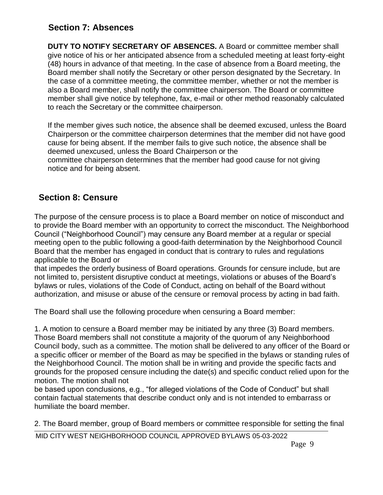#### **Section 7: Absences**

**DUTY TO NOTIFY SECRETARY OF ABSENCES.** A Board or committee member shall give notice of his or her anticipated absence from a scheduled meeting at least forty-eight (48) hours in advance of that meeting. In the case of absence from a Board meeting, the Board member shall notify the Secretary or other person designated by the Secretary. In the case of a committee meeting, the committee member, whether or not the member is also a Board member, shall notify the committee chairperson. The Board or committee member shall give notice by telephone, fax, e-mail or other method reasonably calculated to reach the Secretary or the committee chairperson.

If the member gives such notice, the absence shall be deemed excused, unless the Board Chairperson or the committee chairperson determines that the member did not have good cause for being absent. If the member fails to give such notice, the absence shall be deemed unexcused, unless the Board Chairperson or the committee chairperson determines that the member had good cause for not giving notice and for being absent.

#### **Section 8: Censure**

The purpose of the censure process is to place a Board member on notice of misconduct and to provide the Board member with an opportunity to correct the misconduct. The Neighborhood Council ("Neighborhood Council") may censure any Board member at a regular or special meeting open to the public following a good-faith determination by the Neighborhood Council Board that the member has engaged in conduct that is contrary to rules and regulations applicable to the Board or

that impedes the orderly business of Board operations. Grounds for censure include, but are not limited to, persistent disruptive conduct at meetings, violations or abuses of the Board's bylaws or rules, violations of the Code of Conduct, acting on behalf of the Board without authorization, and misuse or abuse of the censure or removal process by acting in bad faith.

The Board shall use the following procedure when censuring a Board member:

1. A motion to censure a Board member may be initiated by any three (3) Board members. Those Board members shall not constitute a majority of the quorum of any Neighborhood Council body, such as a committee. The motion shall be delivered to any officer of the Board or a specific officer or member of the Board as may be specified in the bylaws or standing rules of the Neighborhood Council. The motion shall be in writing and provide the specific facts and grounds for the proposed censure including the date(s) and specific conduct relied upon for the motion. The motion shall not

be based upon conclusions, e.g., "for alleged violations of the Code of Conduct" but shall contain factual statements that describe conduct only and is not intended to embarrass or humiliate the board member.

2. The Board member, group of Board members or committee responsible for setting the final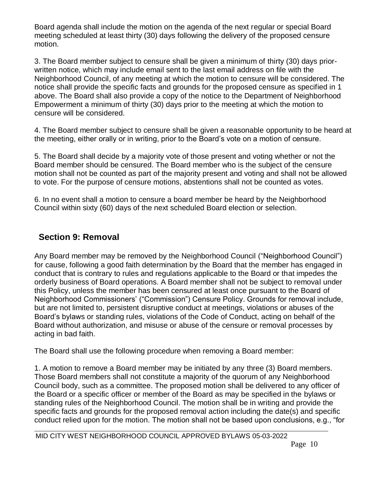Board agenda shall include the motion on the agenda of the next regular or special Board meeting scheduled at least thirty (30) days following the delivery of the proposed censure motion.

3. The Board member subject to censure shall be given a minimum of thirty (30) days priorwritten notice, which may include email sent to the last email address on file with the Neighborhood Council, of any meeting at which the motion to censure will be considered. The notice shall provide the specific facts and grounds for the proposed censure as specified in 1 above. The Board shall also provide a copy of the notice to the Department of Neighborhood Empowerment a minimum of thirty (30) days prior to the meeting at which the motion to censure will be considered.

4. The Board member subject to censure shall be given a reasonable opportunity to be heard at the meeting, either orally or in writing, prior to the Board's vote on a motion of censure.

5. The Board shall decide by a majority vote of those present and voting whether or not the Board member should be censured. The Board member who is the subject of the censure motion shall not be counted as part of the majority present and voting and shall not be allowed to vote. For the purpose of censure motions, abstentions shall not be counted as votes.

6. In no event shall a motion to censure a board member be heard by the Neighborhood Council within sixty (60) days of the next scheduled Board election or selection.

#### **Section 9: Removal**

Any Board member may be removed by the Neighborhood Council ("Neighborhood Council") for cause, following a good faith determination by the Board that the member has engaged in conduct that is contrary to rules and regulations applicable to the Board or that impedes the orderly business of Board operations. A Board member shall not be subject to removal under this Policy, unless the member has been censured at least once pursuant to the Board of Neighborhood Commissioners' ("Commission") Censure Policy. Grounds for removal include, but are not limited to, persistent disruptive conduct at meetings, violations or abuses of the Board's bylaws or standing rules, violations of the Code of Conduct, acting on behalf of the Board without authorization, and misuse or abuse of the censure or removal processes by acting in bad faith.

The Board shall use the following procedure when removing a Board member:

1. A motion to remove a Board member may be initiated by any three (3) Board members. Those Board members shall not constitute a majority of the quorum of any Neighborhood Council body, such as a committee. The proposed motion shall be delivered to any officer of the Board or a specific officer or member of the Board as may be specified in the bylaws or standing rules of the Neighborhood Council. The motion shall be in writing and provide the specific facts and grounds for the proposed removal action including the date(s) and specific conduct relied upon for the motion. The motion shall not be based upon conclusions, e.g., "for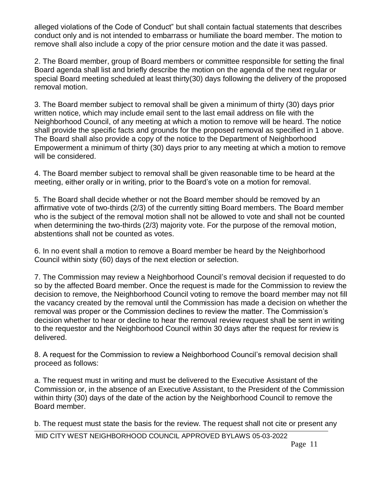alleged violations of the Code of Conduct" but shall contain factual statements that describes conduct only and is not intended to embarrass or humiliate the board member. The motion to remove shall also include a copy of the prior censure motion and the date it was passed.

2. The Board member, group of Board members or committee responsible for setting the final Board agenda shall list and briefly describe the motion on the agenda of the next regular or special Board meeting scheduled at least thirty(30) days following the delivery of the proposed removal motion.

3. The Board member subject to removal shall be given a minimum of thirty (30) days prior written notice, which may include email sent to the last email address on file with the Neighborhood Council, of any meeting at which a motion to remove will be heard. The notice shall provide the specific facts and grounds for the proposed removal as specified in 1 above. The Board shall also provide a copy of the notice to the Department of Neighborhood Empowerment a minimum of thirty (30) days prior to any meeting at which a motion to remove will be considered.

4. The Board member subject to removal shall be given reasonable time to be heard at the meeting, either orally or in writing, prior to the Board's vote on a motion for removal.

5. The Board shall decide whether or not the Board member should be removed by an affirmative vote of two-thirds (2/3) of the currently sitting Board members. The Board member who is the subject of the removal motion shall not be allowed to vote and shall not be counted when determining the two-thirds (2/3) majority vote. For the purpose of the removal motion, abstentions shall not be counted as votes.

6. In no event shall a motion to remove a Board member be heard by the Neighborhood Council within sixty (60) days of the next election or selection.

7. The Commission may review a Neighborhood Council's removal decision if requested to do so by the affected Board member. Once the request is made for the Commission to review the decision to remove, the Neighborhood Council voting to remove the board member may not fill the vacancy created by the removal until the Commission has made a decision on whether the removal was proper or the Commission declines to review the matter. The Commission's decision whether to hear or decline to hear the removal review request shall be sent in writing to the requestor and the Neighborhood Council within 30 days after the request for review is delivered.

8. A request for the Commission to review a Neighborhood Council's removal decision shall proceed as follows:

a. The request must in writing and must be delivered to the Executive Assistant of the Commission or, in the absence of an Executive Assistant, to the President of the Commission within thirty (30) days of the date of the action by the Neighborhood Council to remove the Board member.

b. The request must state the basis for the review. The request shall not cite or present any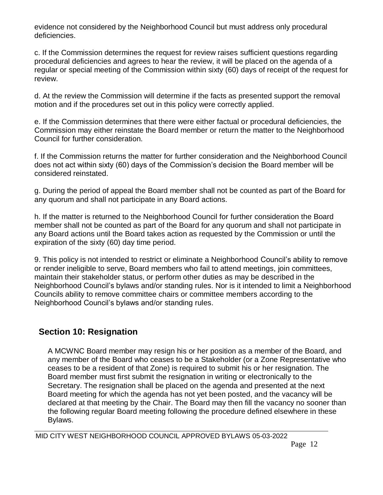evidence not considered by the Neighborhood Council but must address only procedural deficiencies.

c. If the Commission determines the request for review raises sufficient questions regarding procedural deficiencies and agrees to hear the review, it will be placed on the agenda of a regular or special meeting of the Commission within sixty (60) days of receipt of the request for review.

d. At the review the Commission will determine if the facts as presented support the removal motion and if the procedures set out in this policy were correctly applied.

e. If the Commission determines that there were either factual or procedural deficiencies, the Commission may either reinstate the Board member or return the matter to the Neighborhood Council for further consideration.

f. If the Commission returns the matter for further consideration and the Neighborhood Council does not act within sixty (60) days of the Commission's decision the Board member will be considered reinstated.

g. During the period of appeal the Board member shall not be counted as part of the Board for any quorum and shall not participate in any Board actions.

h. If the matter is returned to the Neighborhood Council for further consideration the Board member shall not be counted as part of the Board for any quorum and shall not participate in any Board actions until the Board takes action as requested by the Commission or until the expiration of the sixty (60) day time period.

9. This policy is not intended to restrict or eliminate a Neighborhood Council's ability to remove or render ineligible to serve, Board members who fail to attend meetings, join committees, maintain their stakeholder status, or perform other duties as may be described in the Neighborhood Council's bylaws and/or standing rules. Nor is it intended to limit a Neighborhood Councils ability to remove committee chairs or committee members according to the Neighborhood Council's bylaws and/or standing rules.

## **Section 10: Resignation**

A MCWNC Board member may resign his or her position as a member of the Board, and any member of the Board who ceases to be a Stakeholder (or a Zone Representative who ceases to be a resident of that Zone) is required to submit his or her resignation. The Board member must first submit the resignation in writing or electronically to the Secretary. The resignation shall be placed on the agenda and presented at the next Board meeting for which the agenda has not yet been posted, and the vacancy will be declared at that meeting by the Chair. The Board may then fill the vacancy no sooner than the following regular Board meeting following the procedure defined elsewhere in these Bylaws.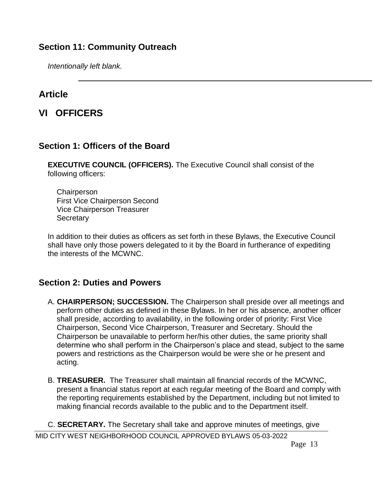#### **Section 11: Community Outreach**

*Intentionally left blank.*

#### **Article**

#### **VI OFFICERS**

#### **Section 1: Officers of the Board**

**EXECUTIVE COUNCIL (OFFICERS).** The Executive Council shall consist of the following officers:

**Chairperson** First Vice Chairperson Second Vice Chairperson Treasurer **Secretary** 

In addition to their duties as officers as set forth in these Bylaws, the Executive Council shall have only those powers delegated to it by the Board in furtherance of expediting the interests of the MCWNC.

#### **Section 2: Duties and Powers**

- A. **CHAIRPERSON; SUCCESSION.** The Chairperson shall preside over all meetings and perform other duties as defined in these Bylaws. In her or his absence, another officer shall preside, according to availability, in the following order of priority: First Vice Chairperson, Second Vice Chairperson, Treasurer and Secretary. Should the Chairperson be unavailable to perform her/his other duties, the same priority shall determine who shall perform in the Chairperson's place and stead, subject to the same powers and restrictions as the Chairperson would be were she or he present and acting.
- B. **TREASURER.** The Treasurer shall maintain all financial records of the MCWNC, present a financial status report at each regular meeting of the Board and comply with the reporting requirements established by the Department, including but not limited to making financial records available to the public and to the Department itself.

MID CITY WEST NEIGHBORHOOD COUNCIL APPROVED BYLAWS 05-03-2022 C. **SECRETARY.** The Secretary shall take and approve minutes of meetings, give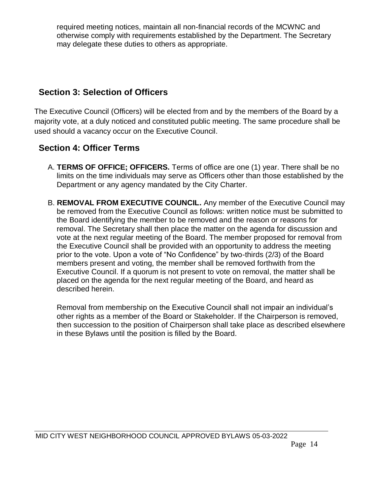required meeting notices, maintain all non-financial records of the MCWNC and otherwise comply with requirements established by the Department. The Secretary may delegate these duties to others as appropriate.

#### **Section 3: Selection of Officers**

The Executive Council (Officers) will be elected from and by the members of the Board by a majority vote, at a duly noticed and constituted public meeting. The same procedure shall be used should a vacancy occur on the Executive Council.

#### **Section 4: Officer Terms**

- A. **TERMS OF OFFICE; OFFICERS.** Terms of office are one (1) year. There shall be no limits on the time individuals may serve as Officers other than those established by the Department or any agency mandated by the City Charter.
- B. **REMOVAL FROM EXECUTIVE COUNCIL.** Any member of the Executive Council may be removed from the Executive Council as follows: written notice must be submitted to the Board identifying the member to be removed and the reason or reasons for removal. The Secretary shall then place the matter on the agenda for discussion and vote at the next regular meeting of the Board. The member proposed for removal from the Executive Council shall be provided with an opportunity to address the meeting prior to the vote. Upon a vote of "No Confidence" by two-thirds (2/3) of the Board members present and voting, the member shall be removed forthwith from the Executive Council. If a quorum is not present to vote on removal, the matter shall be placed on the agenda for the next regular meeting of the Board, and heard as described herein.

Removal from membership on the Executive Council shall not impair an individual's other rights as a member of the Board or Stakeholder. If the Chairperson is removed, then succession to the position of Chairperson shall take place as described elsewhere in these Bylaws until the position is filled by the Board.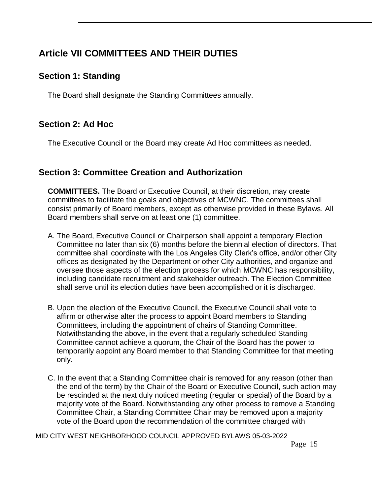# **Article VII COMMITTEES AND THEIR DUTIES**

#### **Section 1: Standing**

The Board shall designate the Standing Committees annually.

#### **Section 2: Ad Hoc**

The Executive Council or the Board may create Ad Hoc committees as needed.

#### **Section 3: Committee Creation and Authorization**

**COMMITTEES.** The Board or Executive Council, at their discretion, may create committees to facilitate the goals and objectives of MCWNC. The committees shall consist primarily of Board members, except as otherwise provided in these Bylaws. All Board members shall serve on at least one (1) committee.

- A. The Board, Executive Council or Chairperson shall appoint a temporary Election Committee no later than six (6) months before the biennial election of directors. That committee shall coordinate with the Los Angeles City Clerk's office, and/or other City offices as designated by the Department or other City authorities, and organize and oversee those aspects of the election process for which MCWNC has responsibility, including candidate recruitment and stakeholder outreach. The Election Committee shall serve until its election duties have been accomplished or it is discharged.
- B. Upon the election of the Executive Council, the Executive Council shall vote to affirm or otherwise alter the process to appoint Board members to Standing Committees, including the appointment of chairs of Standing Committee. Notwithstanding the above, in the event that a regularly scheduled Standing Committee cannot achieve a quorum, the Chair of the Board has the power to temporarily appoint any Board member to that Standing Committee for that meeting only.
- C. In the event that a Standing Committee chair is removed for any reason (other than the end of the term) by the Chair of the Board or Executive Council, such action may be rescinded at the next duly noticed meeting (regular or special) of the Board by a majority vote of the Board. Notwithstanding any other process to remove a Standing Committee Chair, a Standing Committee Chair may be removed upon a majority vote of the Board upon the recommendation of the committee charged with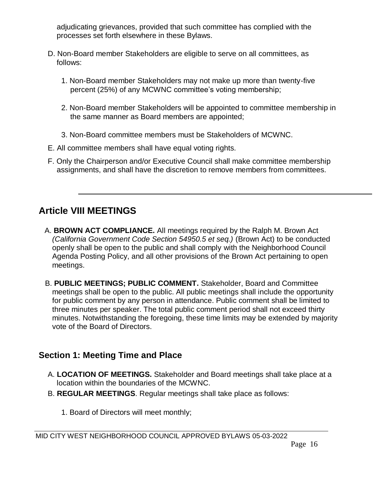adjudicating grievances, provided that such committee has complied with the processes set forth elsewhere in these Bylaws.

- D. Non-Board member Stakeholders are eligible to serve on all committees, as follows:
	- 1. Non-Board member Stakeholders may not make up more than twenty-five percent (25%) of any MCWNC committee's voting membership;
	- 2. Non-Board member Stakeholders will be appointed to committee membership in the same manner as Board members are appointed;
	- 3. Non-Board committee members must be Stakeholders of MCWNC.
- E. All committee members shall have equal voting rights.
- F. Only the Chairperson and/or Executive Council shall make committee membership assignments, and shall have the discretion to remove members from committees.

## **Article VIII MEETINGS**

- A. **BROWN ACT COMPLIANCE.** All meetings required by the Ralph M. Brown Act *(California Government Code Section 54950.5 et seq.)* (Brown Act) to be conducted openly shall be open to the public and shall comply with the Neighborhood Council Agenda Posting Policy, and all other provisions of the Brown Act pertaining to open meetings.
- B. **PUBLIC MEETINGS; PUBLIC COMMENT.** Stakeholder, Board and Committee meetings shall be open to the public. All public meetings shall include the opportunity for public comment by any person in attendance. Public comment shall be limited to three minutes per speaker. The total public comment period shall not exceed thirty minutes. Notwithstanding the foregoing, these time limits may be extended by majority vote of the Board of Directors.

#### **Section 1: Meeting Time and Place**

- A. **LOCATION OF MEETINGS.** Stakeholder and Board meetings shall take place at a location within the boundaries of the MCWNC.
- B. **REGULAR MEETINGS**. Regular meetings shall take place as follows:
	- 1. Board of Directors will meet monthly;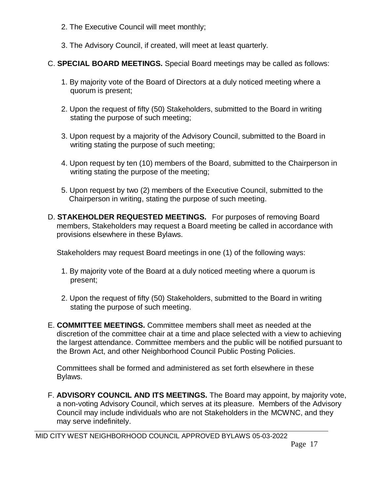- 2. The Executive Council will meet monthly;
- 3. The Advisory Council, if created, will meet at least quarterly.
- C. **SPECIAL BOARD MEETINGS.** Special Board meetings may be called as follows:
	- 1. By majority vote of the Board of Directors at a duly noticed meeting where a quorum is present;
	- 2. Upon the request of fifty (50) Stakeholders, submitted to the Board in writing stating the purpose of such meeting;
	- 3. Upon request by a majority of the Advisory Council, submitted to the Board in writing stating the purpose of such meeting;
	- 4. Upon request by ten (10) members of the Board, submitted to the Chairperson in writing stating the purpose of the meeting;
	- 5. Upon request by two (2) members of the Executive Council, submitted to the Chairperson in writing, stating the purpose of such meeting.
- D. **STAKEHOLDER REQUESTED MEETINGS.** For purposes of removing Board members, Stakeholders may request a Board meeting be called in accordance with provisions elsewhere in these Bylaws.

Stakeholders may request Board meetings in one (1) of the following ways:

- 1. By majority vote of the Board at a duly noticed meeting where a quorum is present;
- 2. Upon the request of fifty (50) Stakeholders, submitted to the Board in writing stating the purpose of such meeting.
- E. **COMMITTEE MEETINGS.** Committee members shall meet as needed at the discretion of the committee chair at a time and place selected with a view to achieving the largest attendance. Committee members and the public will be notified pursuant to the Brown Act, and other Neighborhood Council Public Posting Policies.

Committees shall be formed and administered as set forth elsewhere in these Bylaws.

F. **ADVISORY COUNCIL AND ITS MEETINGS.** The Board may appoint, by majority vote, a non-voting Advisory Council, which serves at its pleasure. Members of the Advisory Council may include individuals who are not Stakeholders in the MCWNC, and they may serve indefinitely.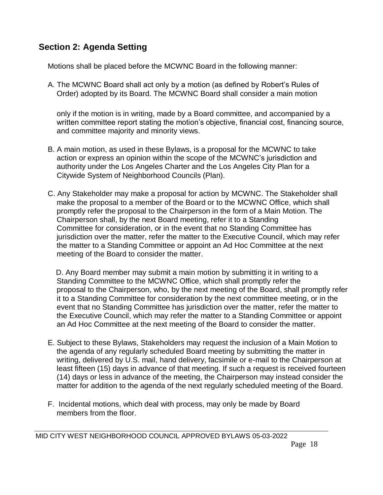#### **Section 2: Agenda Setting**

Motions shall be placed before the MCWNC Board in the following manner:

A. The MCWNC Board shall act only by a motion (as defined by Robert's Rules of Order) adopted by its Board. The MCWNC Board shall consider a main motion

only if the motion is in writing, made by a Board committee, and accompanied by a written committee report stating the motion's objective, financial cost, financing source, and committee majority and minority views.

- B. A main motion, as used in these Bylaws, is a proposal for the MCWNC to take action or express an opinion within the scope of the MCWNC's jurisdiction and authority under the Los Angeles Charter and the Los Angeles City Plan for a Citywide System of Neighborhood Councils (Plan).
- C. Any Stakeholder may make a proposal for action by MCWNC. The Stakeholder shall make the proposal to a member of the Board or to the MCWNC Office, which shall promptly refer the proposal to the Chairperson in the form of a Main Motion. The Chairperson shall, by the next Board meeting, refer it to a Standing Committee for consideration, or in the event that no Standing Committee has jurisdiction over the matter, refer the matter to the Executive Council, which may refer the matter to a Standing Committee or appoint an Ad Hoc Committee at the next meeting of the Board to consider the matter.

D. Any Board member may submit a main motion by submitting it in writing to a Standing Committee to the MCWNC Office, which shall promptly refer the proposal to the Chairperson, who, by the next meeting of the Board, shall promptly refer it to a Standing Committee for consideration by the next committee meeting, or in the event that no Standing Committee has jurisdiction over the matter, refer the matter to the Executive Council, which may refer the matter to a Standing Committee or appoint an Ad Hoc Committee at the next meeting of the Board to consider the matter.

- E. Subject to these Bylaws, Stakeholders may request the inclusion of a Main Motion to the agenda of any regularly scheduled Board meeting by submitting the matter in writing, delivered by U.S. mail, hand delivery, facsimile or e-mail to the Chairperson at least fifteen (15) days in advance of that meeting. If such a request is received fourteen (14) days or less in advance of the meeting, the Chairperson may instead consider the matter for addition to the agenda of the next regularly scheduled meeting of the Board.
- F. Incidental motions, which deal with process, may only be made by Board members from the floor.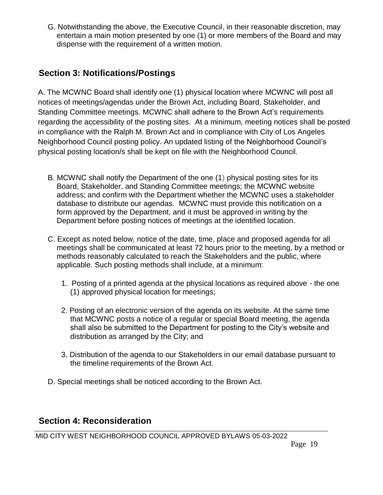G. Notwithstanding the above, the Executive Council, in their reasonable discretion, may entertain a main motion presented by one (1) or more members of the Board and may dispense with the requirement of a written motion.

## **Section 3: Notifications/Postings**

A. The MCWNC Board shall identify one (1) physical location where MCWNC will post all notices of meetings/agendas under the Brown Act, including Board, Stakeholder, and Standing Committee meetings. MCWNC shall adhere to the Brown Act's requirements regarding the accessibility of the posting sites. At a minimum, meeting notices shall be posted in compliance with the Ralph M. Brown Act and in compliance with City of Los Angeles Neighborhood Council posting policy. An updated listing of the Neighborhood Council's physical posting location/s shall be kept on file with the Neighborhood Council.

- B. MCWNC shall notify the Department of the one (1) physical posting sites for its Board, Stakeholder, and Standing Committee meetings; the MCWNC website address; and confirm with the Department whether the MCWNC uses a stakeholder database to distribute our agendas. MCWNC must provide this notification on a form approved by the Department, and it must be approved in writing by the Department before posting notices of meetings at the identified location.
- C. Except as noted below, notice of the date, time, place and proposed agenda for all meetings shall be communicated at least 72 hours prior to the meeting, by a method or methods reasonably calculated to reach the Stakeholders and the public, where applicable. Such posting methods shall include, at a minimum:
	- 1. Posting of a printed agenda at the physical locations as required above the one (1) approved physical location for meetings;
	- 2. Posting of an electronic version of the agenda on its website. At the same time that MCWNC posts a notice of a regular or special Board meeting, the agenda shall also be submitted to the Department for posting to the City's website and distribution as arranged by the City; and
	- 3. Distribution of the agenda to our Stakeholders in our email database pursuant to the timeline requirements of the Brown Act.
- D. Special meetings shall be noticed according to the Brown Act.

#### **Section 4: Reconsideration**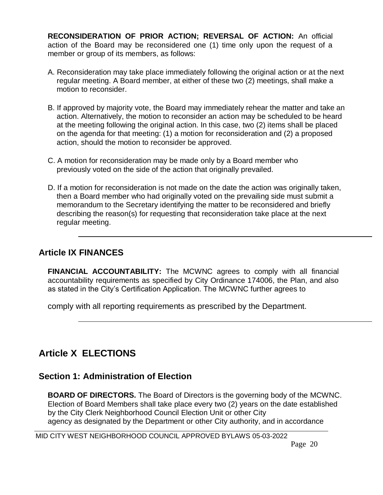**RECONSIDERATION OF PRIOR ACTION; REVERSAL OF ACTION:** An official action of the Board may be reconsidered one (1) time only upon the request of a member or group of its members, as follows:

- A. Reconsideration may take place immediately following the original action or at the next regular meeting. A Board member, at either of these two (2) meetings, shall make a motion to reconsider.
- B. If approved by majority vote, the Board may immediately rehear the matter and take an action. Alternatively, the motion to reconsider an action may be scheduled to be heard at the meeting following the original action. In this case, two (2) items shall be placed on the agenda for that meeting: (1) a motion for reconsideration and (2) a proposed action, should the motion to reconsider be approved.
- C. A motion for reconsideration may be made only by a Board member who previously voted on the side of the action that originally prevailed.
- D. If a motion for reconsideration is not made on the date the action was originally taken, then a Board member who had originally voted on the prevailing side must submit a memorandum to the Secretary identifying the matter to be reconsidered and briefly describing the reason(s) for requesting that reconsideration take place at the next regular meeting.

#### **Article IX FINANCES**

**FINANCIAL ACCOUNTABILITY:** The MCWNC agrees to comply with all financial accountability requirements as specified by City Ordinance 174006, the Plan, and also as stated in the City's Certification Application. The MCWNC further agrees to

comply with all reporting requirements as prescribed by the Department.

# **Article X ELECTIONS**

#### **Section 1: Administration of Election**

**BOARD OF DIRECTORS.** The Board of Directors is the governing body of the MCWNC. Election of Board Members shall take place every two (2) years on the date established by the City Clerk Neighborhood Council Election Unit or other City agency as designated by the Department or other City authority, and in accordance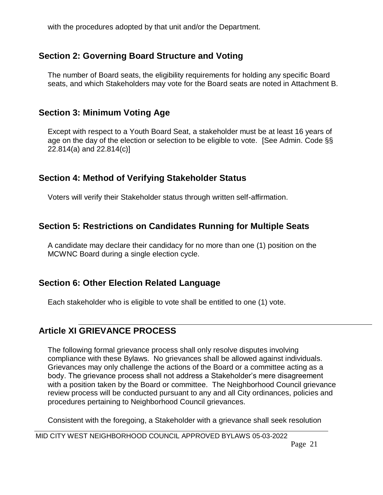with the procedures adopted by that unit and/or the Department.

#### **Section 2: Governing Board Structure and Voting**

The number of Board seats, the eligibility requirements for holding any specific Board seats, and which Stakeholders may vote for the Board seats are noted in Attachment B.

#### **Section 3: Minimum Voting Age**

Except with respect to a Youth Board Seat, a stakeholder must be at least 16 years of age on the day of the election or selection to be eligible to vote. [See Admin. Code §§ 22.814(a) and 22.814(c)]

#### **Section 4: Method of Verifying Stakeholder Status**

Voters will verify their Stakeholder status through written self-affirmation.

#### **Section 5: Restrictions on Candidates Running for Multiple Seats**

A candidate may declare their candidacy for no more than one (1) position on the MCWNC Board during a single election cycle.

#### **Section 6: Other Election Related Language**

Each stakeholder who is eligible to vote shall be entitled to one (1) vote.

## **Article XI GRIEVANCE PROCESS**

The following formal grievance process shall only resolve disputes involving compliance with these Bylaws. No grievances shall be allowed against individuals. Grievances may only challenge the actions of the Board or a committee acting as a body. The grievance process shall not address a Stakeholder's mere disagreement with a position taken by the Board or committee. The Neighborhood Council grievance review process will be conducted pursuant to any and all City ordinances, policies and procedures pertaining to Neighborhood Council grievances.

Consistent with the foregoing, a Stakeholder with a grievance shall seek resolution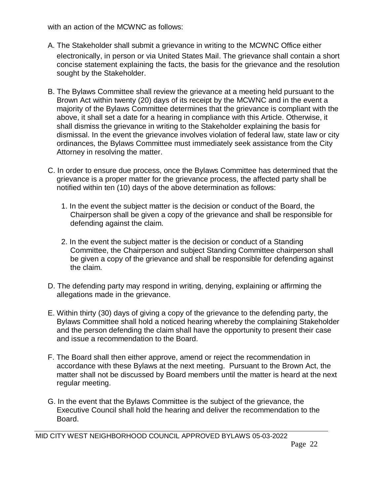with an action of the MCWNC as follows:

- A. The Stakeholder shall submit a grievance in writing to the MCWNC Office either electronically, in person or via United States Mail. The grievance shall contain a short concise statement explaining the facts, the basis for the grievance and the resolution sought by the Stakeholder.
- B. The Bylaws Committee shall review the grievance at a meeting held pursuant to the Brown Act within twenty (20) days of its receipt by the MCWNC and in the event a majority of the Bylaws Committee determines that the grievance is compliant with the above, it shall set a date for a hearing in compliance with this Article. Otherwise, it shall dismiss the grievance in writing to the Stakeholder explaining the basis for dismissal. In the event the grievance involves violation of federal law, state law or city ordinances, the Bylaws Committee must immediately seek assistance from the City Attorney in resolving the matter.
- C. In order to ensure due process, once the Bylaws Committee has determined that the grievance is a proper matter for the grievance process, the affected party shall be notified within ten (10) days of the above determination as follows:
	- 1. In the event the subject matter is the decision or conduct of the Board, the Chairperson shall be given a copy of the grievance and shall be responsible for defending against the claim.
	- 2. In the event the subject matter is the decision or conduct of a Standing Committee, the Chairperson and subject Standing Committee chairperson shall be given a copy of the grievance and shall be responsible for defending against the claim.
- D. The defending party may respond in writing, denying, explaining or affirming the allegations made in the grievance.
- E. Within thirty (30) days of giving a copy of the grievance to the defending party, the Bylaws Committee shall hold a noticed hearing whereby the complaining Stakeholder and the person defending the claim shall have the opportunity to present their case and issue a recommendation to the Board.
- F. The Board shall then either approve, amend or reject the recommendation in accordance with these Bylaws at the next meeting. Pursuant to the Brown Act, the matter shall not be discussed by Board members until the matter is heard at the next regular meeting.
- G. In the event that the Bylaws Committee is the subject of the grievance, the Executive Council shall hold the hearing and deliver the recommendation to the Board.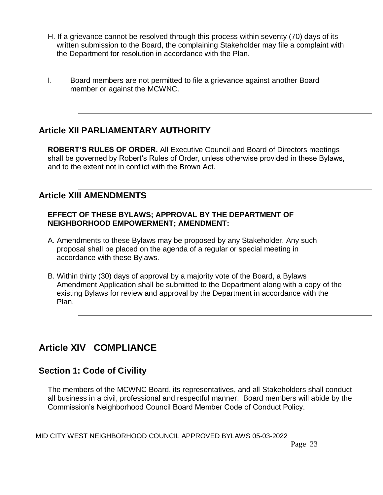- H. If a grievance cannot be resolved through this process within seventy (70) days of its written submission to the Board, the complaining Stakeholder may file a complaint with the Department for resolution in accordance with the Plan.
- I. Board members are not permitted to file a grievance against another Board member or against the MCWNC.

#### **Article XII PARLIAMENTARY AUTHORITY**

**ROBERT'S RULES OF ORDER.** All Executive Council and Board of Directors meetings shall be governed by Robert's Rules of Order, unless otherwise provided in these Bylaws, and to the extent not in conflict with the Brown Act.

#### **Article XIII AMENDMENTS**

#### **EFFECT OF THESE BYLAWS; APPROVAL BY THE DEPARTMENT OF NEIGHBORHOOD EMPOWERMENT; AMENDMENT:**

- A. Amendments to these Bylaws may be proposed by any Stakeholder. Any such proposal shall be placed on the agenda of a regular or special meeting in accordance with these Bylaws.
- B. Within thirty (30) days of approval by a majority vote of the Board, a Bylaws Amendment Application shall be submitted to the Department along with a copy of the existing Bylaws for review and approval by the Department in accordance with the Plan.

# **Article XIV COMPLIANCE**

#### **Section 1: Code of Civility**

The members of the MCWNC Board, its representatives, and all Stakeholders shall conduct all business in a civil, professional and respectful manner. Board members will abide by the Commission's Neighborhood Council Board Member Code of Conduct Policy.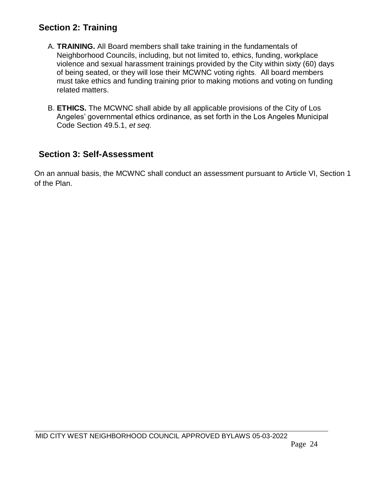#### **Section 2: Training**

- A. **TRAINING.** All Board members shall take training in the fundamentals of Neighborhood Councils, including, but not limited to, ethics, funding, workplace violence and sexual harassment trainings provided by the City within sixty (60) days of being seated, or they will lose their MCWNC voting rights. All board members must take ethics and funding training prior to making motions and voting on funding related matters.
- B. **ETHICS.** The MCWNC shall abide by all applicable provisions of the City of Los Angeles' governmental ethics ordinance, as set forth in the Los Angeles Municipal Code Section 49.5.1, *et seq*.

#### **Section 3: Self-Assessment**

On an annual basis, the MCWNC shall conduct an assessment pursuant to Article VI, Section 1 of the Plan.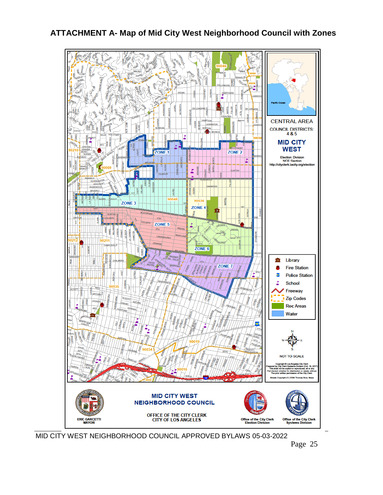#### **ATTACHMENT A- Map of Mid City West Neighborhood Council with Zones**



MID CITY WEST NEIGHBORHOOD COUNCIL APPROVED BYLAWS 05-03-2022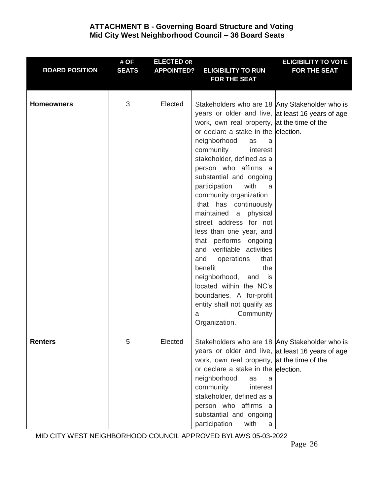#### **ATTACHMENT B - Governing Board Structure and Voting Mid City West Neighborhood Council – 36 Board Seats**

| <b>BOARD POSITION</b> | # OF<br><b>SEATS</b> | <b>ELECTED OR</b><br><b>APPOINTED?</b> | <b>ELIGIBILITY TO RUN</b>                                                                                                                                                                                                                                                                                                                                                                                                                                                                                                                                                                                                                                                                                                                                      | <b>ELIGIBILITY TO VOTE</b><br><b>FOR THE SEAT</b> |
|-----------------------|----------------------|----------------------------------------|----------------------------------------------------------------------------------------------------------------------------------------------------------------------------------------------------------------------------------------------------------------------------------------------------------------------------------------------------------------------------------------------------------------------------------------------------------------------------------------------------------------------------------------------------------------------------------------------------------------------------------------------------------------------------------------------------------------------------------------------------------------|---------------------------------------------------|
|                       |                      |                                        | <b>FOR THE SEAT</b>                                                                                                                                                                                                                                                                                                                                                                                                                                                                                                                                                                                                                                                                                                                                            |                                                   |
| <b>Homeowners</b>     | 3                    | Elected                                | Stakeholders who are 18 Any Stakeholder who is<br>years or older and live, at least 16 years of age<br>work, own real property, at the time of the<br>or declare a stake in the election.<br>neighborhood<br>as<br>a<br>community<br>interest<br>stakeholder, defined as a<br>person who affirms a<br>substantial and ongoing<br>participation<br>with<br>a<br>community organization<br>that has continuously<br>maintained<br>physical<br>a<br>street address for not<br>less than one year, and<br>that performs ongoing<br>and verifiable activities<br>operations<br>that<br>and<br>benefit<br>the<br>neighborhood, and<br>is is<br>located within the NC's<br>boundaries. A for-profit<br>entity shall not qualify as<br>Community<br>a<br>Organization. |                                                   |
| <b>Renters</b>        | 5                    | Elected                                | Stakeholders who are 18 Any Stakeholder who is<br>years or older and live, at least 16 years of age<br>work, own real property, at the time of the<br>or declare a stake in the election.<br>neighborhood<br>as<br>a<br>community<br>interest<br>stakeholder, defined as a<br>person who affirms a<br>substantial and ongoing<br>participation<br>with<br>a                                                                                                                                                                                                                                                                                                                                                                                                    |                                                   |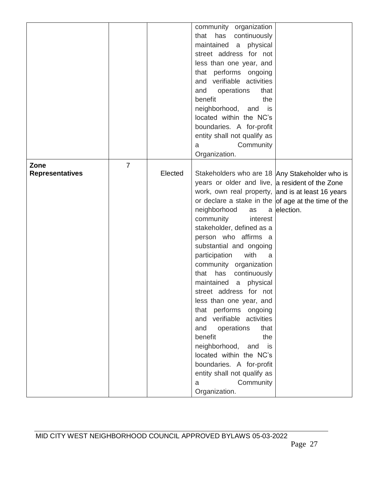|                        |                |         | community organization                              |             |
|------------------------|----------------|---------|-----------------------------------------------------|-------------|
|                        |                |         | that has<br>continuously                            |             |
|                        |                |         | maintained<br>physical<br>a                         |             |
|                        |                |         | street address for not                              |             |
|                        |                |         | less than one year, and                             |             |
|                        |                |         | that performs ongoing                               |             |
|                        |                |         | and verifiable activities                           |             |
|                        |                |         |                                                     |             |
|                        |                |         | operations<br>and<br>that                           |             |
|                        |                |         | benefit<br>the                                      |             |
|                        |                |         | neighborhood, and is                                |             |
|                        |                |         | located within the NC's                             |             |
|                        |                |         | boundaries. A for-profit                            |             |
|                        |                |         | entity shall not qualify as                         |             |
|                        |                |         | Community<br>a                                      |             |
|                        |                |         | Organization.                                       |             |
| Zone                   | $\overline{7}$ |         |                                                     |             |
| <b>Representatives</b> |                | Elected | Stakeholders who are 18 Any Stakeholder who is      |             |
|                        |                |         | years or older and live, a resident of the Zone     |             |
|                        |                |         | work, own real property, and is at least 16 years   |             |
|                        |                |         | or declare a stake in the of age at the time of the |             |
|                        |                |         | neighborhood<br>as                                  | a election. |
|                        |                |         | community<br>interest                               |             |
|                        |                |         | stakeholder, defined as a                           |             |
|                        |                |         | person who affirms a                                |             |
|                        |                |         | substantial and ongoing                             |             |
|                        |                |         | participation<br>with<br>a                          |             |
|                        |                |         | community organization                              |             |
|                        |                |         | has<br>that<br>continuously                         |             |
|                        |                |         | maintained a<br>physical                            |             |
|                        |                |         | street address for not                              |             |
|                        |                |         | less than one year, and                             |             |
|                        |                |         | that performs ongoing                               |             |
|                        |                |         | and verifiable activities                           |             |
|                        |                |         | operations<br>that<br>and                           |             |
|                        |                |         | the<br>benefit                                      |             |
|                        |                |         | neighborhood,<br>and is                             |             |
|                        |                |         | located within the NC's                             |             |
|                        |                |         |                                                     |             |
|                        |                |         | boundaries. A for-profit                            |             |
|                        |                |         | entity shall not qualify as                         |             |
|                        |                |         | Community<br>a                                      |             |
|                        |                |         | Organization.                                       |             |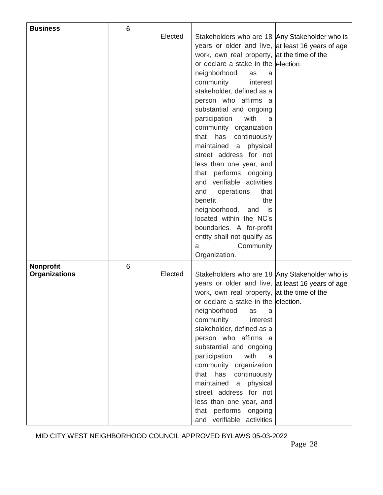| <b>Business</b>      | 6 |         |                                                   |  |
|----------------------|---|---------|---------------------------------------------------|--|
|                      |   | Elected | Stakeholders who are 18 Any Stakeholder who is    |  |
|                      |   |         | years or older and live, at least 16 years of age |  |
|                      |   |         | work, own real property, at the time of the       |  |
|                      |   |         | or declare a stake in the election.               |  |
|                      |   |         | neighborhood<br>as<br>a                           |  |
|                      |   |         | community<br>interest                             |  |
|                      |   |         | stakeholder, defined as a                         |  |
|                      |   |         | person who affirms a                              |  |
|                      |   |         | substantial and ongoing                           |  |
|                      |   |         | participation<br>with<br>a                        |  |
|                      |   |         | community organization                            |  |
|                      |   |         | has<br>continuously<br>that                       |  |
|                      |   |         | maintained a physical                             |  |
|                      |   |         | street address for not                            |  |
|                      |   |         |                                                   |  |
|                      |   |         | less than one year, and                           |  |
|                      |   |         | that performs ongoing                             |  |
|                      |   |         | and verifiable activities                         |  |
|                      |   |         | operations<br>that<br>and                         |  |
|                      |   |         | the<br>benefit                                    |  |
|                      |   |         | neighborhood,<br>and is                           |  |
|                      |   |         | located within the NC's                           |  |
|                      |   |         | boundaries. A for-profit                          |  |
|                      |   |         | entity shall not qualify as                       |  |
|                      |   |         | Community<br>a                                    |  |
|                      |   |         | Organization.                                     |  |
| <b>Nonprofit</b>     | 6 |         |                                                   |  |
| <b>Organizations</b> |   | Elected | Stakeholders who are 18 Any Stakeholder who is    |  |
|                      |   |         | years or older and live, at least 16 years of age |  |
|                      |   |         | work, own real property, at the time of the       |  |
|                      |   |         | or declare a stake in the lelection.              |  |
|                      |   |         | neighborhood<br>as<br>a                           |  |
|                      |   |         | community<br>interest                             |  |
|                      |   |         | stakeholder, defined as a                         |  |
|                      |   |         | person who affirms a                              |  |
|                      |   |         | substantial and ongoing                           |  |
|                      |   |         | with<br>participation<br>a                        |  |
|                      |   |         | community organization                            |  |
|                      |   |         | that has<br>continuously                          |  |
|                      |   |         | a physical<br>maintained                          |  |
|                      |   |         | street address for not                            |  |
|                      |   |         | less than one year, and                           |  |
|                      |   |         | that performs ongoing                             |  |
|                      |   |         | and verifiable activities                         |  |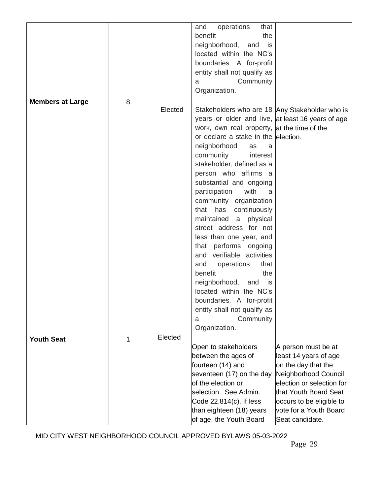|                         |   |         | operations<br>that<br>and<br>benefit<br>the<br>neighborhood,<br>and<br>is<br>located within the NC's<br>boundaries. A for-profit<br>entity shall not qualify as<br>Community<br>a<br>Organization.                                                                                                                                                                                                                                                                                                                                                                                                                                                                                                                                                             |                                                                                                                                                                                                                            |
|-------------------------|---|---------|----------------------------------------------------------------------------------------------------------------------------------------------------------------------------------------------------------------------------------------------------------------------------------------------------------------------------------------------------------------------------------------------------------------------------------------------------------------------------------------------------------------------------------------------------------------------------------------------------------------------------------------------------------------------------------------------------------------------------------------------------------------|----------------------------------------------------------------------------------------------------------------------------------------------------------------------------------------------------------------------------|
| <b>Members at Large</b> | 8 | Elected | Stakeholders who are 18 Any Stakeholder who is<br>years or older and live, at least 16 years of age<br>work, own real property, at the time of the<br>or declare a stake in the election.<br>neighborhood<br>as<br>a<br>community<br>interest<br>stakeholder, defined as a<br>person who affirms a<br>substantial and ongoing<br>with<br>participation<br>a<br>community organization<br>has<br>continuously<br>that<br>maintained a<br>physical<br>street address for not<br>less than one year, and<br>that performs ongoing<br>and verifiable activities<br>operations<br>and<br>that<br>benefit<br>the<br>neighborhood,<br>and is<br>located within the NC's<br>boundaries. A for-profit<br>entity shall not qualify as<br>Community<br>a<br>Organization. |                                                                                                                                                                                                                            |
| <b>Youth Seat</b>       | 1 | Elected | Open to stakeholders<br>between the ages of<br>fourteen (14) and<br>seventeen (17) on the day<br>of the election or<br>selection. See Admin.<br>Code 22.814(c). If less<br>than eighteen (18) years<br>of age, the Youth Board                                                                                                                                                                                                                                                                                                                                                                                                                                                                                                                                 | A person must be at<br>least 14 years of age<br>on the day that the<br>Neighborhood Council<br>election or selection for<br>that Youth Board Seat<br>occurs to be eligible to<br>vote for a Youth Board<br>Seat candidate. |